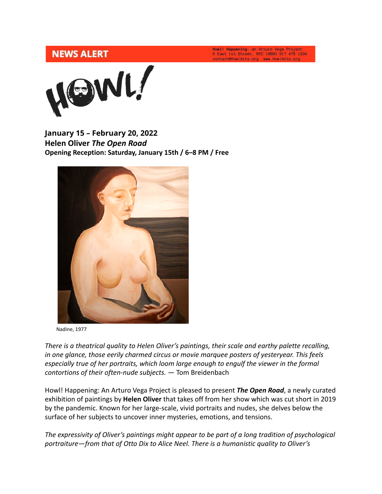## **NEWS ALERT**

Howl! Happening: an Arturo Vega Project<br>6 East 1st Street, NYC 10003 917 475 1294 contact@HowlArts.org www.HowlArts.org



**January 15 – February 20, 2022 Helen Oliver** *The Open Road* **Opening Reception: Saturday, January 15th / 6–8 PM / Free**



Nadine, 1977

*There is a theatrical quality to Helen Oliver's paintings, their scale and earthy palette recalling, in one glance, those eerily charmed circus or movie marquee posters of yesteryear. This feels especially true of her portraits, which loom large enough to engulf the viewer in the formal contortions of their often-nude subjects.* — Tom Breidenbach

Howl! Happening: An Arturo Vega Project is pleased to present *The Open Road*, a newly curated exhibition of paintings by **Helen Oliver** that takes off from her show which was cut short in 2019 by the pandemic. Known for her large-scale, vivid portraits and nudes, she delves below the surface of her subjects to uncover inner mysteries, emotions, and tensions.

*The expressivity of Oliver's paintings might appear to be part of a long tradition of psychological portraiture—from that of Otto Dix to Alice Neel. There is a humanistic quality to Oliver's*